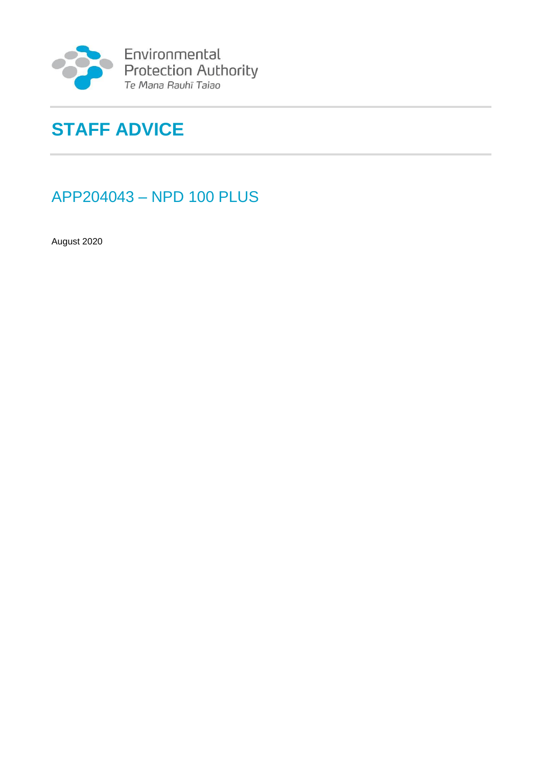

Environmental<br>Protection Authority<br>Te Mana Rauhī Taiao

# **STAFF ADVICE**

## APP204043 – NPD 100 PLUS

August 2020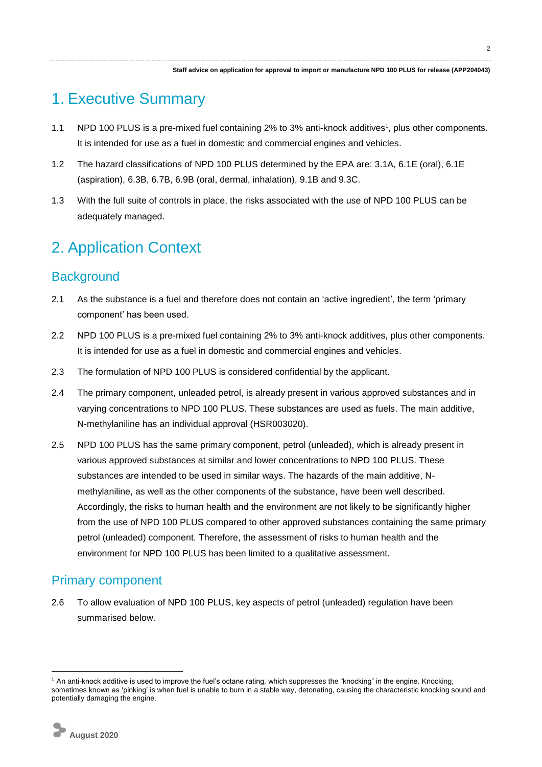## 1. Executive Summary

- 1.1 NPD 100 PLUS is a pre-mixed fuel containing 2% to 3% anti-knock additives<sup>1</sup>, plus other components. It is intended for use as a fuel in domestic and commercial engines and vehicles.
- 1.2 The hazard classifications of NPD 100 PLUS determined by the EPA are: 3.1A, 6.1E (oral), 6.1E (aspiration), 6.3B, 6.7B, 6.9B (oral, dermal, inhalation), 9.1B and 9.3C.
- 1.3 With the full suite of controls in place, the risks associated with the use of NPD 100 PLUS can be adequately managed.

## 2. Application Context

### **Background**

- 2.1 As the substance is a fuel and therefore does not contain an 'active ingredient', the term 'primary component' has been used.
- 2.2 NPD 100 PLUS is a pre-mixed fuel containing 2% to 3% anti-knock additives, plus other components. It is intended for use as a fuel in domestic and commercial engines and vehicles.
- 2.3 The formulation of NPD 100 PLUS is considered confidential by the applicant.
- 2.4 The primary component, unleaded petrol, is already present in various approved substances and in varying concentrations to NPD 100 PLUS. These substances are used as fuels. The main additive, N-methylaniline has an individual approval (HSR003020).
- 2.5 NPD 100 PLUS has the same primary component, petrol (unleaded), which is already present in various approved substances at similar and lower concentrations to NPD 100 PLUS. These substances are intended to be used in similar ways. The hazards of the main additive, Nmethylaniline, as well as the other components of the substance, have been well described. Accordingly, the risks to human health and the environment are not likely to be significantly higher from the use of NPD 100 PLUS compared to other approved substances containing the same primary petrol (unleaded) component. Therefore, the assessment of risks to human health and the environment for NPD 100 PLUS has been limited to a qualitative assessment.

### Primary component

2.6 To allow evaluation of NPD 100 PLUS, key aspects of petrol (unleaded) regulation have been summarised below.

-

<sup>&</sup>lt;sup>1</sup> An anti-knock additive is used to improve the fuel's octane rating, which suppresses the "knocking" in the engine. Knocking, sometimes known as 'pinking' is when fuel is unable to burn in a stable way, detonating, causing the characteristic knocking sound and potentially damaging the engine.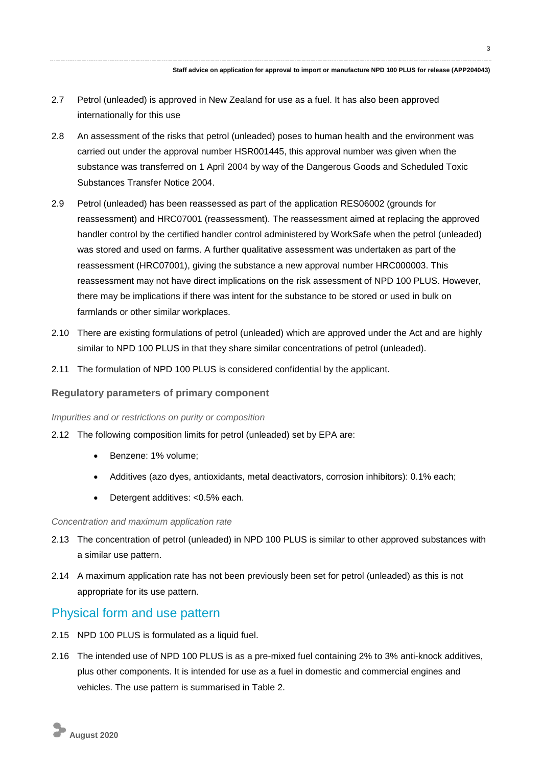- 2.7 Petrol (unleaded) is approved in New Zealand for use as a fuel. It has also been approved internationally for this use
- 2.8 An assessment of the risks that petrol (unleaded) poses to human health and the environment was carried out under the approval number HSR001445, this approval number was given when the substance was transferred on 1 April 2004 by way of the Dangerous Goods and Scheduled Toxic Substances Transfer Notice 2004.
- 2.9 Petrol (unleaded) has been reassessed as part of the application RES06002 (grounds for reassessment) and HRC07001 (reassessment). The reassessment aimed at replacing the approved handler control by the certified handler control administered by WorkSafe when the petrol (unleaded) was stored and used on farms. A further qualitative assessment was undertaken as part of the reassessment (HRC07001), giving the substance a new approval number HRC000003. This reassessment may not have direct implications on the risk assessment of NPD 100 PLUS. However, there may be implications if there was intent for the substance to be stored or used in bulk on farmlands or other similar workplaces.
- 2.10 There are existing formulations of petrol (unleaded) which are approved under the Act and are highly similar to NPD 100 PLUS in that they share similar concentrations of petrol (unleaded).
- 2.11 The formulation of NPD 100 PLUS is considered confidential by the applicant.

#### **Regulatory parameters of primary component**

#### *Impurities and or restrictions on purity or composition*

- 2.12 The following composition limits for petrol (unleaded) set by EPA are:
	- Benzene: 1% volume:
	- Additives (azo dyes, antioxidants, metal deactivators, corrosion inhibitors): 0.1% each;
	- Detergent additives: <0.5% each.

#### *Concentration and maximum application rate*

- 2.13 The concentration of petrol (unleaded) in NPD 100 PLUS is similar to other approved substances with a similar use pattern.
- 2.14 A maximum application rate has not been previously been set for petrol (unleaded) as this is not appropriate for its use pattern.

#### Physical form and use pattern

- 2.15 NPD 100 PLUS is formulated as a liquid fuel.
- 2.16 The intended use of NPD 100 PLUS is as a pre-mixed fuel containing 2% to 3% anti-knock additives, plus other components. It is intended for use as a fuel in domestic and commercial engines and vehicles. The use pattern is summarised in Table 2.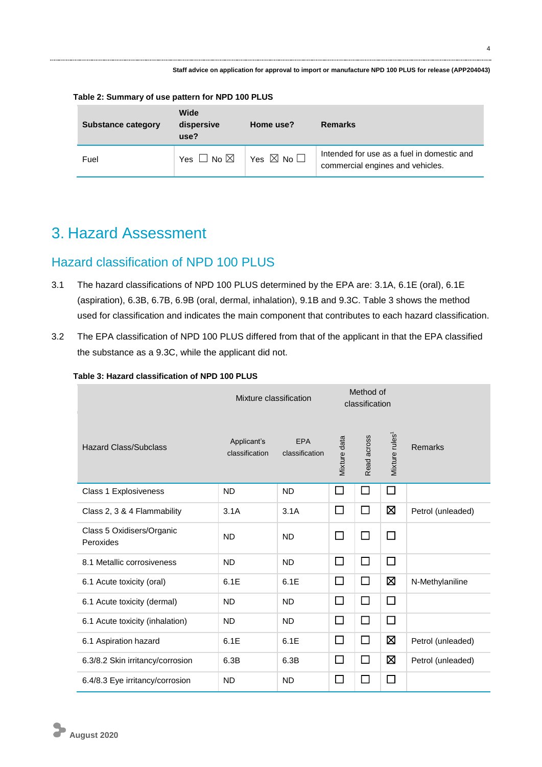**Staff advice on application for approval to import or manufacture NPD 100 PLUS for release (APP204043)**

| <b>Substance category</b> | Wide<br>dispersive<br>use?            | Home use?                    | Remarks                                                                        |
|---------------------------|---------------------------------------|------------------------------|--------------------------------------------------------------------------------|
| Fuel                      | $\Box$ No $\boxtimes$<br>Yes $\vdash$ | Yes $\boxtimes$ No $\square$ | Intended for use as a fuel in domestic and<br>commercial engines and vehicles. |

**Table 2: Summary of use pattern for NPD 100 PLUS**

## 3. Hazard Assessment

### Hazard classification of NPD 100 PLUS

- 3.1 The hazard classifications of NPD 100 PLUS determined by the EPA are: 3.1A, 6.1E (oral), 6.1E (aspiration), 6.3B, 6.7B, 6.9B (oral, dermal, inhalation), 9.1B and 9.3C. Table 3 shows the method used for classification and indicates the main component that contributes to each hazard classification.
- 3.2 The EPA classification of NPD 100 PLUS differed from that of the applicant in that the EPA classified the substance as a 9.3C, while the applicant did not.

#### **Table 3: Hazard classification of NPD 100 PLUS**

|                                        | Mixture classification        |                              | Method of<br>classification |             |                            |                   |
|----------------------------------------|-------------------------------|------------------------------|-----------------------------|-------------|----------------------------|-------------------|
| <b>Hazard Class/Subclass</b>           | Applicant's<br>classification | <b>EPA</b><br>classification | Mixture data                | Read across | Mixture rules <sup>1</sup> | Remarks           |
| Class 1 Explosiveness                  | <b>ND</b>                     | <b>ND</b>                    | $\Box$                      | $\Box$      | П                          |                   |
| Class 2, 3 & 4 Flammability            | 3.1A                          | 3.1A                         | $\Box$                      | $\Box$      | ⊠                          | Petrol (unleaded) |
| Class 5 Oxidisers/Organic<br>Peroxides | <b>ND</b>                     | <b>ND</b>                    | $\Box$                      | $\Box$      | $\Box$                     |                   |
| 8.1 Metallic corrosiveness             | <b>ND</b>                     | <b>ND</b>                    | $\Box$                      | $\Box$      | □                          |                   |
| 6.1 Acute toxicity (oral)              | 6.1E                          | 6.1E                         | $\Box$                      | $\Box$      | Ø                          | N-Methylaniline   |
| 6.1 Acute toxicity (dermal)            | <b>ND</b>                     | <b>ND</b>                    | $\Box$                      | $\Box$      | П                          |                   |
| 6.1 Acute toxicity (inhalation)        | <b>ND</b>                     | <b>ND</b>                    | $\Box$                      | $\Box$      | □                          |                   |
| 6.1 Aspiration hazard                  | 6.1E                          | 6.1E                         | $\Box$                      | $\Box$      | 区                          | Petrol (unleaded) |
| 6.3/8.2 Skin irritancy/corrosion       | 6.3B                          | 6.3B                         | $\Box$                      | □           | Ø                          | Petrol (unleaded) |
| 6.4/8.3 Eye irritancy/corrosion        | <b>ND</b>                     | <b>ND</b>                    | $\Box$                      | $\Box$      | $\Box$                     |                   |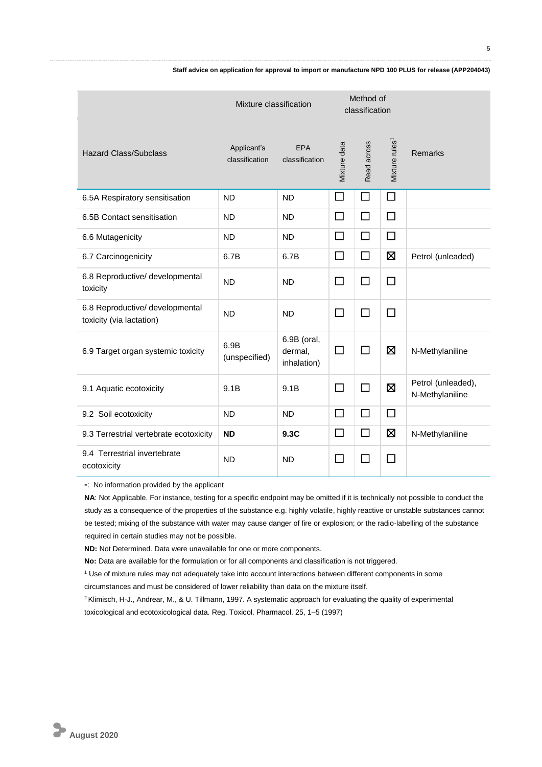|                                                             | Mixture classification        |                                       | Method of<br>classification |             |                            |                                       |
|-------------------------------------------------------------|-------------------------------|---------------------------------------|-----------------------------|-------------|----------------------------|---------------------------------------|
| <b>Hazard Class/Subclass</b>                                | Applicant's<br>classification | <b>EPA</b><br>classification          | Mixture data                | Read across | Mixture rules <sup>1</sup> | Remarks                               |
| 6.5A Respiratory sensitisation                              | <b>ND</b>                     | <b>ND</b>                             | □                           | $\Box$      | $\Box$                     |                                       |
| 6.5B Contact sensitisation                                  | <b>ND</b>                     | <b>ND</b>                             | □                           | $\Box$      | $\Box$                     |                                       |
| 6.6 Mutagenicity                                            | <b>ND</b>                     | <b>ND</b>                             | П                           | $\Box$      | $\Box$                     |                                       |
| 6.7 Carcinogenicity                                         | 6.7B                          | 6.7B                                  | П                           | П           | 冈                          | Petrol (unleaded)                     |
| 6.8 Reproductive/ developmental<br>toxicity                 | <b>ND</b>                     | <b>ND</b>                             | $\Box$                      | П           | $\Box$                     |                                       |
| 6.8 Reproductive/ developmental<br>toxicity (via lactation) | <b>ND</b>                     | <b>ND</b>                             | $\Box$                      | $\Box$      | $\Box$                     |                                       |
| 6.9 Target organ systemic toxicity                          | 6.9B<br>(unspecified)         | 6.9B (oral,<br>dermal,<br>inhalation) | □                           | $\Box$      | 区                          | N-Methylaniline                       |
| 9.1 Aquatic ecotoxicity                                     | 9.1B                          | 9.1B                                  | □                           | □           | 区                          | Petrol (unleaded),<br>N-Methylaniline |
| 9.2 Soil ecotoxicity                                        | <b>ND</b>                     | <b>ND</b>                             | $\Box$                      | $\Box$      | $\Box$                     |                                       |
| 9.3 Terrestrial vertebrate ecotoxicity                      | <b>ND</b>                     | 9.3C                                  | □                           | $\Box$      | 区                          | N-Methylaniline                       |
| 9.4 Terrestrial invertebrate<br>ecotoxicity                 | <b>ND</b>                     | <b>ND</b>                             | □                           | П           | П                          |                                       |

**Staff advice on application for approval to import or manufacture NPD 100 PLUS for release (APP204043)**

**-**: No information provided by the applicant

**NA**: Not Applicable. For instance, testing for a specific endpoint may be omitted if it is technically not possible to conduct the study as a consequence of the properties of the substance e.g. highly volatile, highly reactive or unstable substances cannot be tested; mixing of the substance with water may cause danger of fire or explosion; or the radio-labelling of the substance required in certain studies may not be possible.

**ND:** Not Determined. Data were unavailable for one or more components.

**No:** Data are available for the formulation or for all components and classification is not triggered.

<sup>1</sup> Use of mixture rules may not adequately take into account interactions between different components in some

circumstances and must be considered of lower reliability than data on the mixture itself.

<sup>2</sup> Klimisch, H-J., Andrear, M., & U. Tillmann, 1997. A systematic approach for evaluating the quality of experimental toxicological and ecotoxicological data. Reg. Toxicol. Pharmacol. 25, 1–5 (1997)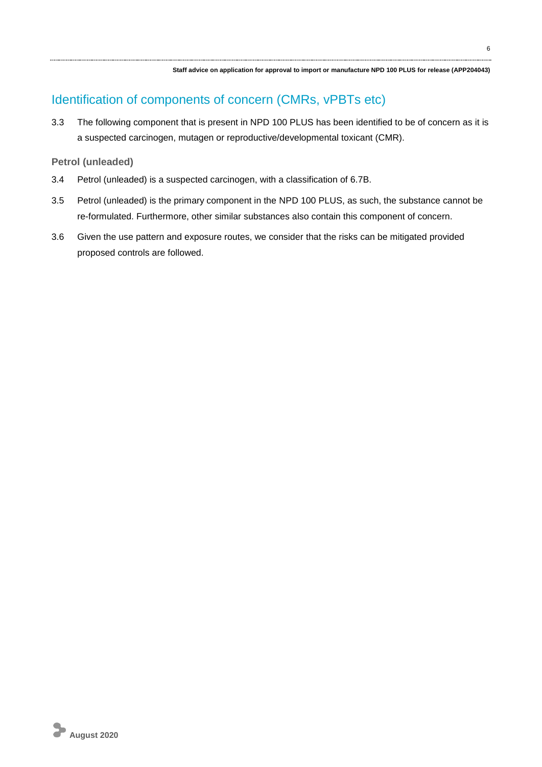### Identification of components of concern (CMRs, vPBTs etc)

3.3 The following component that is present in NPD 100 PLUS has been identified to be of concern as it is a suspected carcinogen, mutagen or reproductive/developmental toxicant (CMR).

#### **Petrol (unleaded)**

- 3.4 Petrol (unleaded) is a suspected carcinogen, with a classification of 6.7B.
- 3.5 Petrol (unleaded) is the primary component in the NPD 100 PLUS, as such, the substance cannot be re-formulated. Furthermore, other similar substances also contain this component of concern.
- 3.6 Given the use pattern and exposure routes, we consider that the risks can be mitigated provided proposed controls are followed.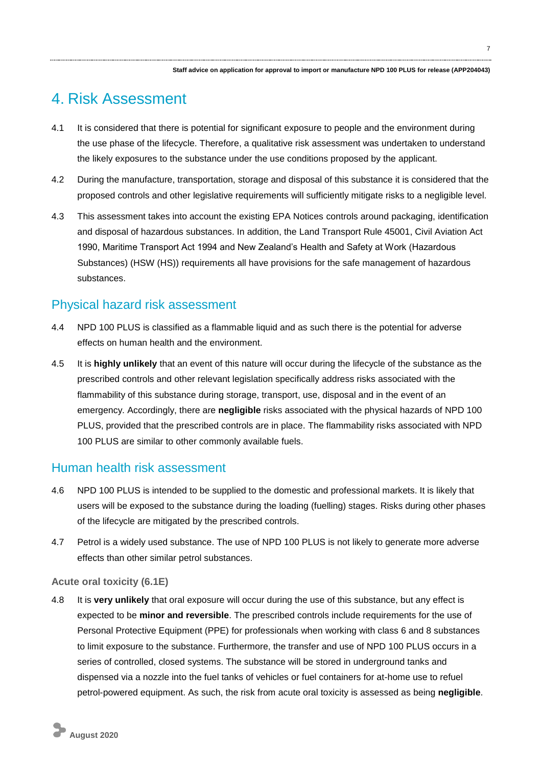## 4. Risk Assessment

- 4.1 It is considered that there is potential for significant exposure to people and the environment during the use phase of the lifecycle. Therefore, a qualitative risk assessment was undertaken to understand the likely exposures to the substance under the use conditions proposed by the applicant.
- 4.2 During the manufacture, transportation, storage and disposal of this substance it is considered that the proposed controls and other legislative requirements will sufficiently mitigate risks to a negligible level.
- 4.3 This assessment takes into account the existing EPA Notices controls around packaging, identification and disposal of hazardous substances. In addition, the Land Transport Rule 45001, Civil Aviation Act 1990, Maritime Transport Act 1994 and New Zealand's Health and Safety at Work (Hazardous Substances) (HSW (HS)) requirements all have provisions for the safe management of hazardous substances.

### Physical hazard risk assessment

- 4.4 NPD 100 PLUS is classified as a flammable liquid and as such there is the potential for adverse effects on human health and the environment.
- 4.5 It is **highly unlikely** that an event of this nature will occur during the lifecycle of the substance as the prescribed controls and other relevant legislation specifically address risks associated with the flammability of this substance during storage, transport, use, disposal and in the event of an emergency. Accordingly, there are **negligible** risks associated with the physical hazards of NPD 100 PLUS, provided that the prescribed controls are in place. The flammability risks associated with NPD 100 PLUS are similar to other commonly available fuels.

### Human health risk assessment

- 4.6 NPD 100 PLUS is intended to be supplied to the domestic and professional markets. It is likely that users will be exposed to the substance during the loading (fuelling) stages. Risks during other phases of the lifecycle are mitigated by the prescribed controls.
- 4.7 Petrol is a widely used substance. The use of NPD 100 PLUS is not likely to generate more adverse effects than other similar petrol substances.

#### **Acute oral toxicity (6.1E)**

4.8 It is **very unlikely** that oral exposure will occur during the use of this substance, but any effect is expected to be **minor and reversible**. The prescribed controls include requirements for the use of Personal Protective Equipment (PPE) for professionals when working with class 6 and 8 substances to limit exposure to the substance. Furthermore, the transfer and use of NPD 100 PLUS occurs in a series of controlled, closed systems. The substance will be stored in underground tanks and dispensed via a nozzle into the fuel tanks of vehicles or fuel containers for at-home use to refuel petrol-powered equipment. As such, the risk from acute oral toxicity is assessed as being **negligible**.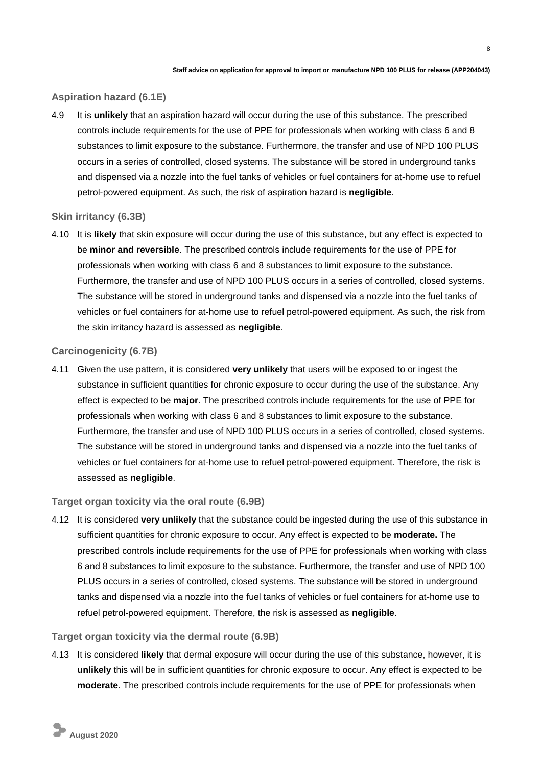#### **Aspiration hazard (6.1E)**

4.9 It is **unlikely** that an aspiration hazard will occur during the use of this substance. The prescribed controls include requirements for the use of PPE for professionals when working with class 6 and 8 substances to limit exposure to the substance. Furthermore, the transfer and use of NPD 100 PLUS occurs in a series of controlled, closed systems. The substance will be stored in underground tanks and dispensed via a nozzle into the fuel tanks of vehicles or fuel containers for at-home use to refuel petrol-powered equipment. As such, the risk of aspiration hazard is **negligible**.

#### **Skin irritancy (6.3B)**

4.10 It is **likely** that skin exposure will occur during the use of this substance, but any effect is expected to be **minor and reversible**. The prescribed controls include requirements for the use of PPE for professionals when working with class 6 and 8 substances to limit exposure to the substance. Furthermore, the transfer and use of NPD 100 PLUS occurs in a series of controlled, closed systems. The substance will be stored in underground tanks and dispensed via a nozzle into the fuel tanks of vehicles or fuel containers for at-home use to refuel petrol-powered equipment. As such, the risk from the skin irritancy hazard is assessed as **negligible**.

#### **Carcinogenicity (6.7B)**

4.11 Given the use pattern, it is considered **very unlikely** that users will be exposed to or ingest the substance in sufficient quantities for chronic exposure to occur during the use of the substance. Any effect is expected to be **major**. The prescribed controls include requirements for the use of PPE for professionals when working with class 6 and 8 substances to limit exposure to the substance. Furthermore, the transfer and use of NPD 100 PLUS occurs in a series of controlled, closed systems. The substance will be stored in underground tanks and dispensed via a nozzle into the fuel tanks of vehicles or fuel containers for at-home use to refuel petrol-powered equipment. Therefore, the risk is assessed as **negligible**.

#### **Target organ toxicity via the oral route (6.9B)**

4.12 It is considered **very unlikely** that the substance could be ingested during the use of this substance in sufficient quantities for chronic exposure to occur. Any effect is expected to be **moderate.** The prescribed controls include requirements for the use of PPE for professionals when working with class 6 and 8 substances to limit exposure to the substance. Furthermore, the transfer and use of NPD 100 PLUS occurs in a series of controlled, closed systems. The substance will be stored in underground tanks and dispensed via a nozzle into the fuel tanks of vehicles or fuel containers for at-home use to refuel petrol-powered equipment. Therefore, the risk is assessed as **negligible**.

#### **Target organ toxicity via the dermal route (6.9B)**

4.13 It is considered **likely** that dermal exposure will occur during the use of this substance, however, it is **unlikely** this will be in sufficient quantities for chronic exposure to occur. Any effect is expected to be **moderate**. The prescribed controls include requirements for the use of PPE for professionals when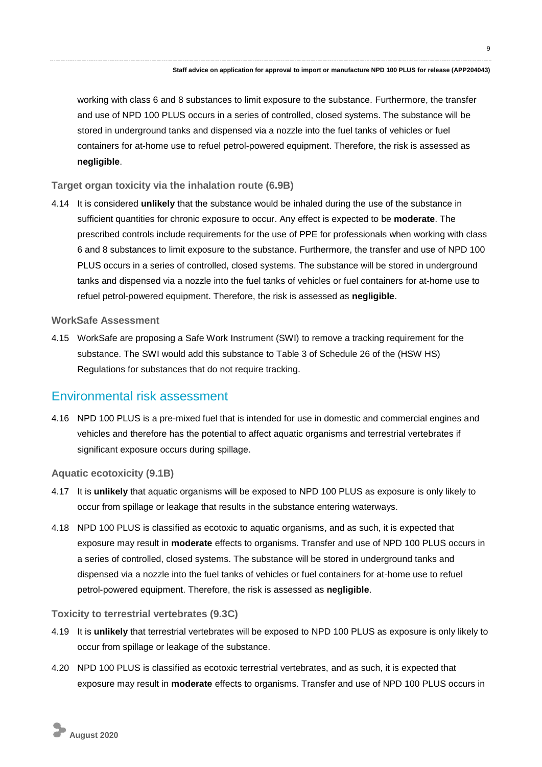working with class 6 and 8 substances to limit exposure to the substance. Furthermore, the transfer and use of NPD 100 PLUS occurs in a series of controlled, closed systems. The substance will be stored in underground tanks and dispensed via a nozzle into the fuel tanks of vehicles or fuel containers for at-home use to refuel petrol-powered equipment. Therefore, the risk is assessed as **negligible**.

#### **Target organ toxicity via the inhalation route (6.9B)**

4.14 It is considered **unlikely** that the substance would be inhaled during the use of the substance in sufficient quantities for chronic exposure to occur. Any effect is expected to be **moderate**. The prescribed controls include requirements for the use of PPE for professionals when working with class 6 and 8 substances to limit exposure to the substance. Furthermore, the transfer and use of NPD 100 PLUS occurs in a series of controlled, closed systems. The substance will be stored in underground tanks and dispensed via a nozzle into the fuel tanks of vehicles or fuel containers for at-home use to refuel petrol-powered equipment. Therefore, the risk is assessed as **negligible**.

#### **WorkSafe Assessment**

4.15 WorkSafe are proposing a Safe Work Instrument (SWI) to remove a tracking requirement for the substance. The SWI would add this substance to Table 3 of Schedule 26 of the (HSW HS) Regulations for substances that do not require tracking.

### Environmental risk assessment

4.16 NPD 100 PLUS is a pre-mixed fuel that is intended for use in domestic and commercial engines and vehicles and therefore has the potential to affect aquatic organisms and terrestrial vertebrates if significant exposure occurs during spillage.

**Aquatic ecotoxicity (9.1B)**

- 4.17 It is **unlikely** that aquatic organisms will be exposed to NPD 100 PLUS as exposure is only likely to occur from spillage or leakage that results in the substance entering waterways.
- 4.18 NPD 100 PLUS is classified as ecotoxic to aquatic organisms, and as such, it is expected that exposure may result in **moderate** effects to organisms. Transfer and use of NPD 100 PLUS occurs in a series of controlled, closed systems. The substance will be stored in underground tanks and dispensed via a nozzle into the fuel tanks of vehicles or fuel containers for at-home use to refuel petrol-powered equipment. Therefore, the risk is assessed as **negligible**.

#### **Toxicity to terrestrial vertebrates (9.3C)**

- 4.19 It is **unlikely** that terrestrial vertebrates will be exposed to NPD 100 PLUS as exposure is only likely to occur from spillage or leakage of the substance.
- 4.20 NPD 100 PLUS is classified as ecotoxic terrestrial vertebrates, and as such, it is expected that exposure may result in **moderate** effects to organisms. Transfer and use of NPD 100 PLUS occurs in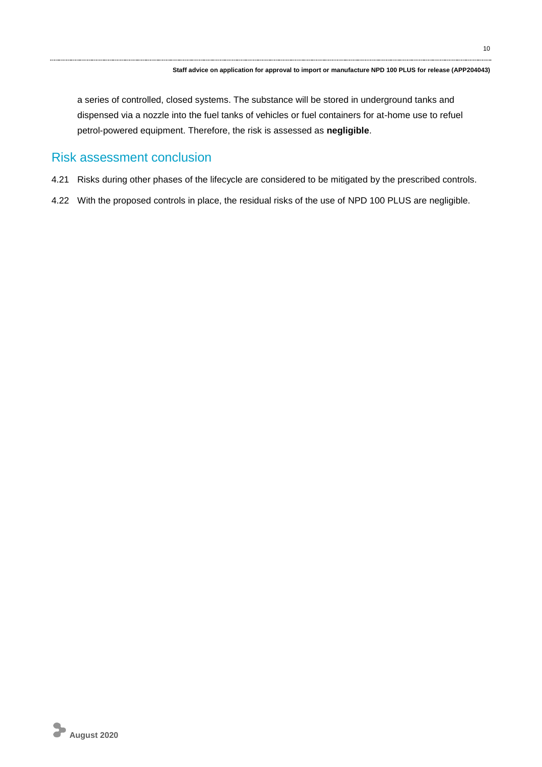a series of controlled, closed systems. The substance will be stored in underground tanks and dispensed via a nozzle into the fuel tanks of vehicles or fuel containers for at-home use to refuel petrol-powered equipment. Therefore, the risk is assessed as **negligible**.

### Risk assessment conclusion

- 4.21 Risks during other phases of the lifecycle are considered to be mitigated by the prescribed controls.
- 4.22 With the proposed controls in place, the residual risks of the use of NPD 100 PLUS are negligible.

10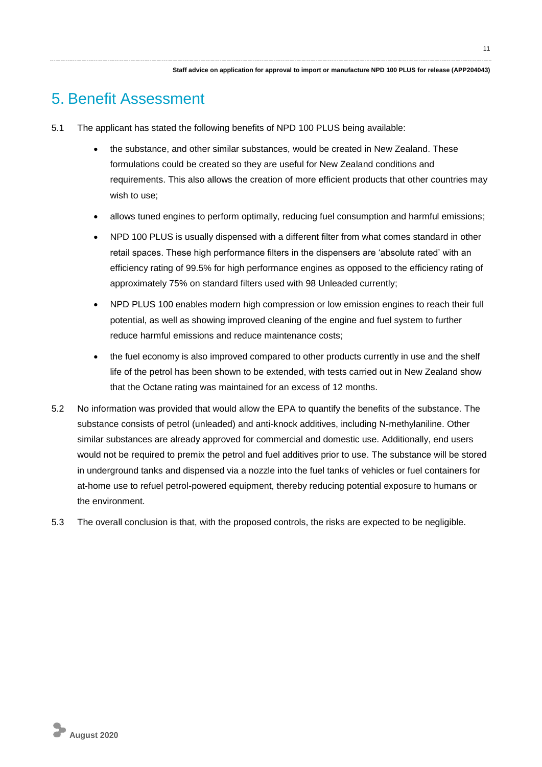## 5. Benefit Assessment

- 5.1 The applicant has stated the following benefits of NPD 100 PLUS being available:
	- the substance, and other similar substances, would be created in New Zealand. These formulations could be created so they are useful for New Zealand conditions and requirements. This also allows the creation of more efficient products that other countries may wish to use;
	- allows tuned engines to perform optimally, reducing fuel consumption and harmful emissions;
	- NPD 100 PLUS is usually dispensed with a different filter from what comes standard in other retail spaces. These high performance filters in the dispensers are 'absolute rated' with an efficiency rating of 99.5% for high performance engines as opposed to the efficiency rating of approximately 75% on standard filters used with 98 Unleaded currently;
	- NPD PLUS 100 enables modern high compression or low emission engines to reach their full potential, as well as showing improved cleaning of the engine and fuel system to further reduce harmful emissions and reduce maintenance costs;
	- the fuel economy is also improved compared to other products currently in use and the shelf life of the petrol has been shown to be extended, with tests carried out in New Zealand show that the Octane rating was maintained for an excess of 12 months.
- 5.2 No information was provided that would allow the EPA to quantify the benefits of the substance. The substance consists of petrol (unleaded) and anti-knock additives, including N-methylaniline. Other similar substances are already approved for commercial and domestic use. Additionally, end users would not be required to premix the petrol and fuel additives prior to use. The substance will be stored in underground tanks and dispensed via a nozzle into the fuel tanks of vehicles or fuel containers for at-home use to refuel petrol-powered equipment, thereby reducing potential exposure to humans or the environment.
- 5.3 The overall conclusion is that, with the proposed controls, the risks are expected to be negligible.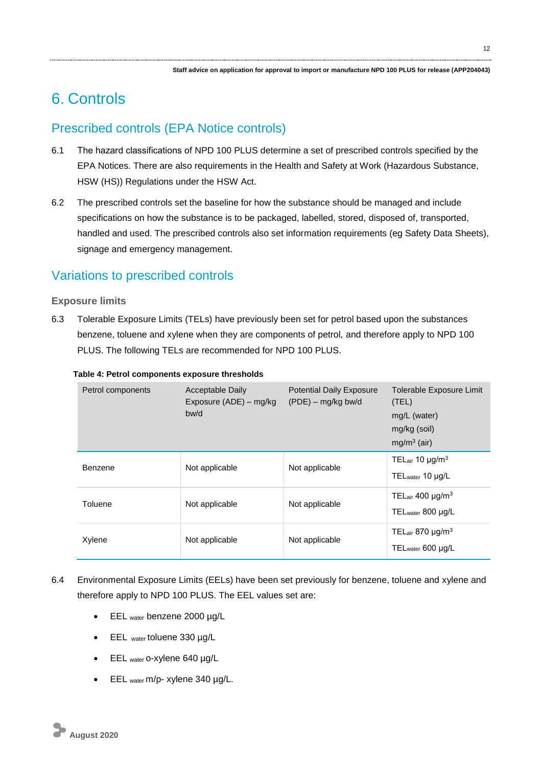## 6. Controls

### Prescribed controls (EPA Notice controls)

- 6.1 The hazard classifications of NPD 100 PLUS determine a set of prescribed controls specified by the EPA Notices. There are also requirements in the Health and Safety at Work (Hazardous Substance, HSW (HS)) Regulations under the HSW Act.
- 6.2 The prescribed controls set the baseline for how the substance should be managed and include specifications on how the substance is to be packaged, labelled, stored, disposed of, transported, handled and used. The prescribed controls also set information requirements (eg Safety Data Sheets), signage and emergency management.

### Variations to prescribed controls

#### **Exposure limits**

6.3 Tolerable Exposure Limits (TELs) have previously been set for petrol based upon the substances benzene, toluene and xylene when they are components of petrol, and therefore apply to NPD 100 PLUS. The following TELs are recommended for NPD 100 PLUS.

| Petrol components | Acceptable Daily<br>Exposure (ADE) – mg/kg<br>bw/d | <b>Potential Daily Exposure</b><br>(PDE) – mg/kg bw/d | Tolerable Exposure Limit<br>(TEL)<br>mg/L (water)<br>mg/kg (soil)<br>mg/m <sup>3</sup> (air) |
|-------------------|----------------------------------------------------|-------------------------------------------------------|----------------------------------------------------------------------------------------------|
| Benzene           | Not applicable                                     | Not applicable                                        | TELair 10 $\mu$ g/m <sup>3</sup><br>TEL <sub>water</sub> 10 µg/L                             |
| Toluene           | Not applicable                                     | Not applicable                                        | TELair 400 $\mu$ g/m <sup>3</sup><br>TEL <sub>water</sub> 800 µg/L                           |
| Xylene            | Not applicable                                     | Not applicable                                        | TELair 870 $\mu$ g/m <sup>3</sup><br>TEL <sub>water</sub> 600 µg/L                           |

#### **Table 4: Petrol components exposure thresholds**

- 6.4 Environmental Exposure Limits (EELs) have been set previously for benzene, toluene and xylene and therefore apply to NPD 100 PLUS. The EEL values set are:
	- EEL water benzene 2000 µg/L
	- EEL water toluene 330 µg/L
	- EEL water o-xylene 640 µg/L
	- EEL water m/p- xylene 340 µg/L.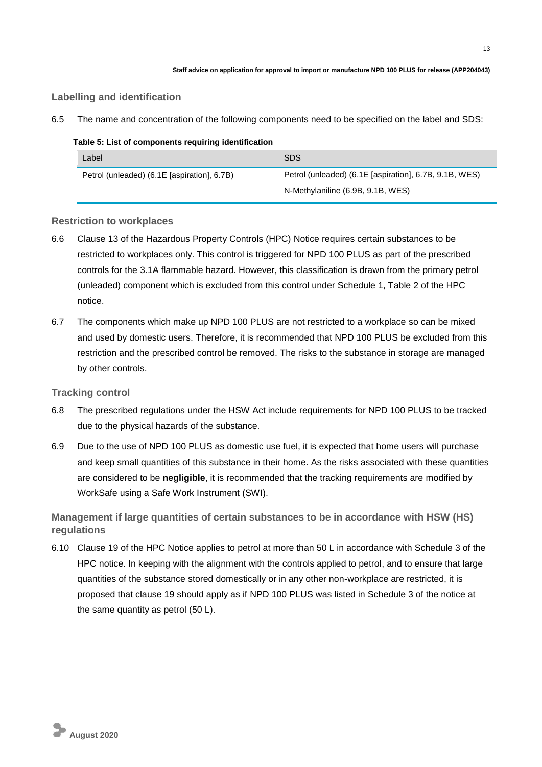#### **Labelling and identification**

6.5 The name and concentration of the following components need to be specified on the label and SDS:

#### **Table 5: List of components requiring identification**

| Label                                       | <b>SDS</b>                                             |  |  |
|---------------------------------------------|--------------------------------------------------------|--|--|
| Petrol (unleaded) (6.1E [aspiration], 6.7B) | Petrol (unleaded) (6.1E [aspiration], 6.7B, 9.1B, WES) |  |  |
|                                             | N-Methylaniline (6.9B, 9.1B, WES)                      |  |  |

#### **Restriction to workplaces**

- 6.6 Clause 13 of the Hazardous Property Controls (HPC) Notice requires certain substances to be restricted to workplaces only. This control is triggered for NPD 100 PLUS as part of the prescribed controls for the 3.1A flammable hazard. However, this classification is drawn from the primary petrol (unleaded) component which is excluded from this control under Schedule 1, Table 2 of the HPC notice.
- 6.7 The components which make up NPD 100 PLUS are not restricted to a workplace so can be mixed and used by domestic users. Therefore, it is recommended that NPD 100 PLUS be excluded from this restriction and the prescribed control be removed. The risks to the substance in storage are managed by other controls.

#### **Tracking control**

- 6.8 The prescribed regulations under the HSW Act include requirements for NPD 100 PLUS to be tracked due to the physical hazards of the substance.
- 6.9 Due to the use of NPD 100 PLUS as domestic use fuel, it is expected that home users will purchase and keep small quantities of this substance in their home. As the risks associated with these quantities are considered to be **negligible**, it is recommended that the tracking requirements are modified by WorkSafe using a Safe Work Instrument (SWI).

**Management if large quantities of certain substances to be in accordance with HSW (HS) regulations**

6.10 Clause 19 of the HPC Notice applies to petrol at more than 50 L in accordance with Schedule 3 of the HPC notice. In keeping with the alignment with the controls applied to petrol, and to ensure that large quantities of the substance stored domestically or in any other non-workplace are restricted, it is proposed that clause 19 should apply as if NPD 100 PLUS was listed in Schedule 3 of the notice at the same quantity as petrol (50 L).